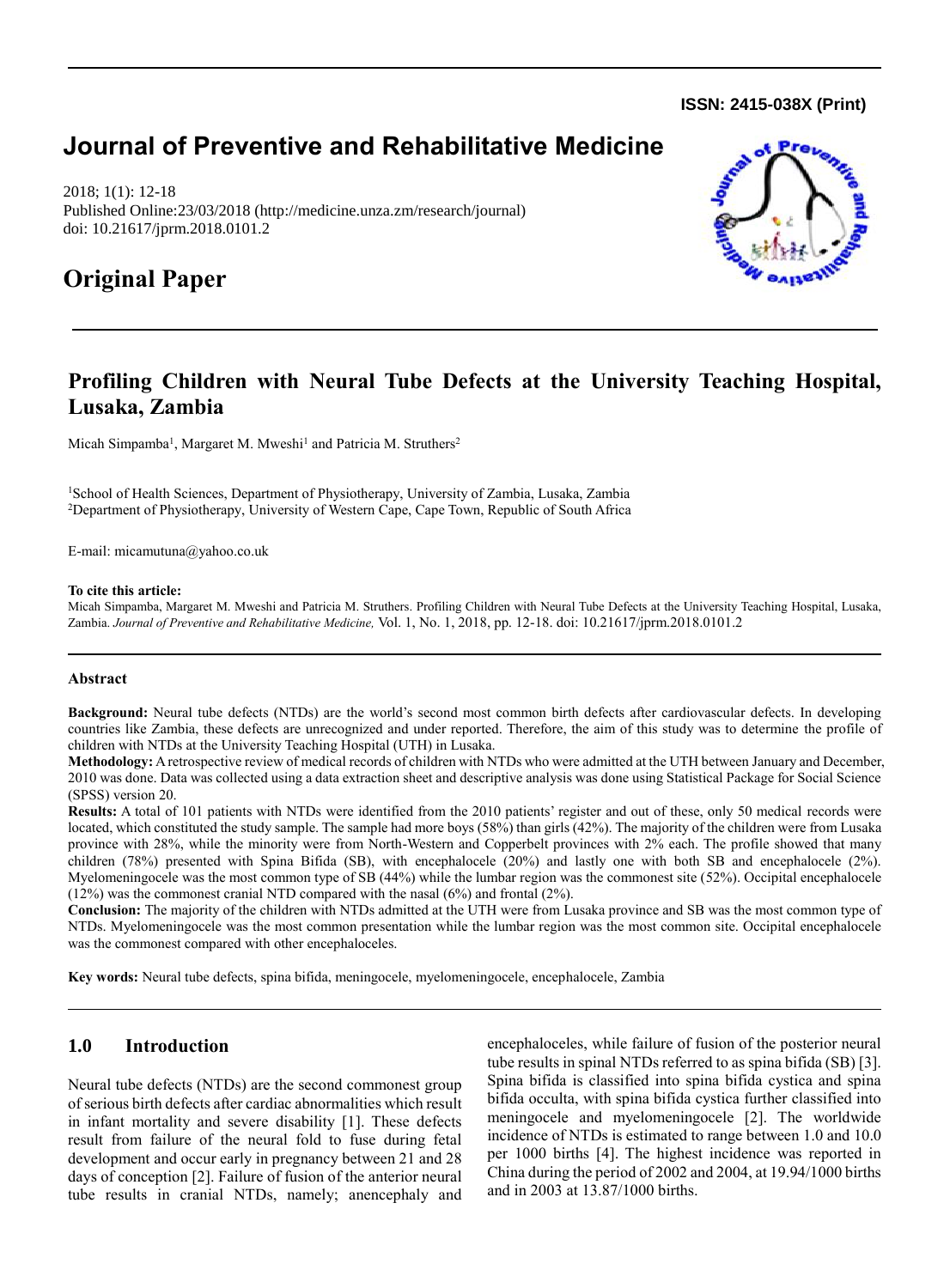**ISSN: 2415-038X (Print)** 

# **Journal of Preventive and Rehabilitative Medicine**

2018; 1(1): 12-18 Published Online:23/03/2018 (http://medicine.unza.zm/research/journal) doi: 10.21617/jprm.2018.0101.2

# **Original Paper**



# **Profiling Children with Neural Tube Defects at the University Teaching Hospital, Lusaka, Zambia**

Micah Simpamba<sup>1</sup>, Margaret M. Mweshi<sup>1</sup> and Patricia M. Struthers<sup>2</sup>

<sup>1</sup>School of Health Sciences, Department of Physiotherapy, University of Zambia, Lusaka, Zambia <sup>2</sup>Department of Physiotherapy, University of Western Cape, Cape Town, Republic of South Africa

E-mail: micamutuna@yahoo.co.uk

#### **To cite this article:**

Micah Simpamba, Margaret M. Mweshi and Patricia M. Struthers. Profiling Children with Neural Tube Defects at the University Teaching Hospital, Lusaka, Zambia. *Journal of Preventive and Rehabilitative Medicine,* Vol. 1, No. 1, 2018, pp. 12-18. doi: 10.21617/jprm.2018.0101.2

### **Abstract**

**Background:** Neural tube defects (NTDs) are the world's second most common birth defects after cardiovascular defects. In developing countries like Zambia, these defects are unrecognized and under reported. Therefore, the aim of this study was to determine the profile of children with NTDs at the University Teaching Hospital (UTH) in Lusaka.

**Methodology:** A retrospective review of medical records of children with NTDs who were admitted at the UTH between January and December, 2010 was done. Data was collected using a data extraction sheet and descriptive analysis was done using Statistical Package for Social Science (SPSS) version 20.

**Results:** A total of 101 patients with NTDs were identified from the 2010 patients' register and out of these, only 50 medical records were located, which constituted the study sample. The sample had more boys (58%) than girls (42%). The majority of the children were from Lusaka province with 28%, while the minority were from North-Western and Copperbelt provinces with 2% each. The profile showed that many children (78%) presented with Spina Bifida (SB), with encephalocele (20%) and lastly one with both SB and encephalocele (2%). Myelomeningocele was the most common type of SB (44%) while the lumbar region was the commonest site (52%). Occipital encephalocele (12%) was the commonest cranial NTD compared with the nasal (6%) and frontal (2%).

**Conclusion:** The majority of the children with NTDs admitted at the UTH were from Lusaka province and SB was the most common type of NTDs. Myelomeningocele was the most common presentation while the lumbar region was the most common site. Occipital encephalocele was the commonest compared with other encephaloceles.

**Key words:** Neural tube defects, spina bifida, meningocele, myelomeningocele, encephalocele, Zambia

# **1.0 Introduction**

Neural tube defects (NTDs) are the second commonest group of serious birth defects after cardiac abnormalities which result in infant mortality and severe disability [1]. These defects result from failure of the neural fold to fuse during fetal development and occur early in pregnancy between 21 and 28 days of conception [2]. Failure of fusion of the anterior neural tube results in cranial NTDs, namely; anencephaly and encephaloceles, while failure of fusion of the posterior neural tube results in spinal NTDs referred to as spina bifida (SB) [3]. Spina bifida is classified into spina bifida cystica and spina bifida occulta, with spina bifida cystica further classified into meningocele and myelomeningocele [2]. The worldwide incidence of NTDs is estimated to range between 1.0 and 10.0 per 1000 births [4]. The highest incidence was reported in China during the period of 2002 and 2004, at 19.94/1000 births and in 2003 at 13.87/1000 births.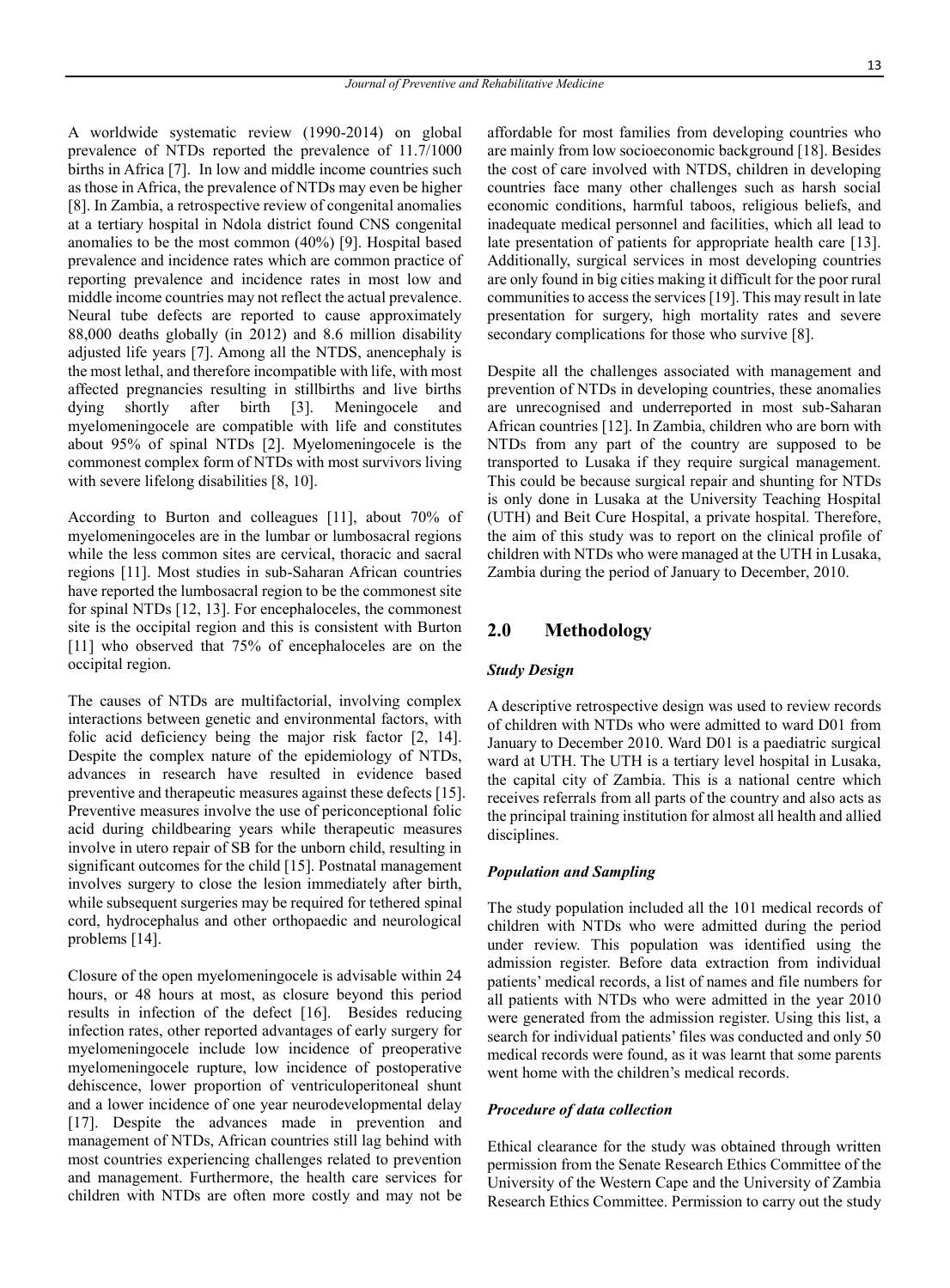A worldwide systematic review (1990-2014) on global prevalence of NTDs reported the prevalence of 11.7/1000 births in Africa [7]. In low and middle income countries such as those in Africa, the prevalence of NTDs may even be higher [8]. In Zambia, a retrospective review of congenital anomalies at a tertiary hospital in Ndola district found CNS congenital anomalies to be the most common (40%) [9]. Hospital based prevalence and incidence rates which are common practice of reporting prevalence and incidence rates in most low and middle income countries may not reflect the actual prevalence. Neural tube defects are reported to cause approximately 88,000 deaths globally (in 2012) and 8.6 million disability adjusted life years [7]. Among all the NTDS, anencephaly is the most lethal, and therefore incompatible with life, with most affected pregnancies resulting in stillbirths and live births dying shortly after birth [3]. Meningocele and myelomeningocele are compatible with life and constitutes about 95% of spinal NTDs [2]. Myelomeningocele is the commonest complex form of NTDs with most survivors living with severe lifelong disabilities [8, 10].

According to Burton and colleagues [11], about 70% of myelomeningoceles are in the lumbar or lumbosacral regions while the less common sites are cervical, thoracic and sacral regions [11]. Most studies in sub-Saharan African countries have reported the lumbosacral region to be the commonest site for spinal NTDs [12, 13]. For encephaloceles, the commonest site is the occipital region and this is consistent with Burton [11] who observed that 75% of encephaloceles are on the occipital region.

The causes of NTDs are multifactorial, involving complex interactions between genetic and environmental factors, with folic acid deficiency being the major risk factor [2, 14]. Despite the complex nature of the epidemiology of NTDs, advances in research have resulted in evidence based preventive and therapeutic measures against these defects [15]. Preventive measures involve the use of periconceptional folic acid during childbearing years while therapeutic measures involve in utero repair of SB for the unborn child, resulting in significant outcomes for the child [15]. Postnatal management involves surgery to close the lesion immediately after birth, while subsequent surgeries may be required for tethered spinal cord, hydrocephalus and other orthopaedic and neurological problems [14].

Closure of the open myelomeningocele is advisable within 24 hours, or 48 hours at most, as closure beyond this period results in infection of the defect [16]. Besides reducing infection rates, other reported advantages of early surgery for myelomeningocele include low incidence of preoperative myelomeningocele rupture, low incidence of postoperative dehiscence, lower proportion of ventriculoperitoneal shunt and a lower incidence of one year neurodevelopmental delay [17]. Despite the advances made in prevention and management of NTDs, African countries still lag behind with most countries experiencing challenges related to prevention and management. Furthermore, the health care services for children with NTDs are often more costly and may not be affordable for most families from developing countries who are mainly from low socioeconomic background [18]. Besides the cost of care involved with NTDS, children in developing countries face many other challenges such as harsh social economic conditions, harmful taboos, religious beliefs, and inadequate medical personnel and facilities, which all lead to late presentation of patients for appropriate health care [13]. Additionally, surgical services in most developing countries are only found in big cities making it difficult for the poor rural communities to access the services [19]. This may result in late presentation for surgery, high mortality rates and severe secondary complications for those who survive [8].

Despite all the challenges associated with management and prevention of NTDs in developing countries, these anomalies are unrecognised and underreported in most sub-Saharan African countries [12]. In Zambia, children who are born with NTDs from any part of the country are supposed to be transported to Lusaka if they require surgical management. This could be because surgical repair and shunting for NTDs is only done in Lusaka at the University Teaching Hospital (UTH) and Beit Cure Hospital, a private hospital. Therefore, the aim of this study was to report on the clinical profile of children with NTDs who were managed at the UTH in Lusaka, Zambia during the period of January to December, 2010.

# **2.0 Methodology**

### *Study Design*

A descriptive retrospective design was used to review records of children with NTDs who were admitted to ward D01 from January to December 2010. Ward D01 is a paediatric surgical ward at UTH. The UTH is a tertiary level hospital in Lusaka, the capital city of Zambia. This is a national centre which receives referrals from all parts of the country and also acts as the principal training institution for almost all health and allied disciplines.

### *Population and Sampling*

The study population included all the 101 medical records of children with NTDs who were admitted during the period under review. This population was identified using the admission register. Before data extraction from individual patients' medical records, a list of names and file numbers for all patients with NTDs who were admitted in the year 2010 were generated from the admission register. Using this list, a search for individual patients' files was conducted and only 50 medical records were found, as it was learnt that some parents went home with the children's medical records.

#### *Procedure of data collection*

Ethical clearance for the study was obtained through written permission from the Senate Research Ethics Committee of the University of the Western Cape and the University of Zambia Research Ethics Committee. Permission to carry out the study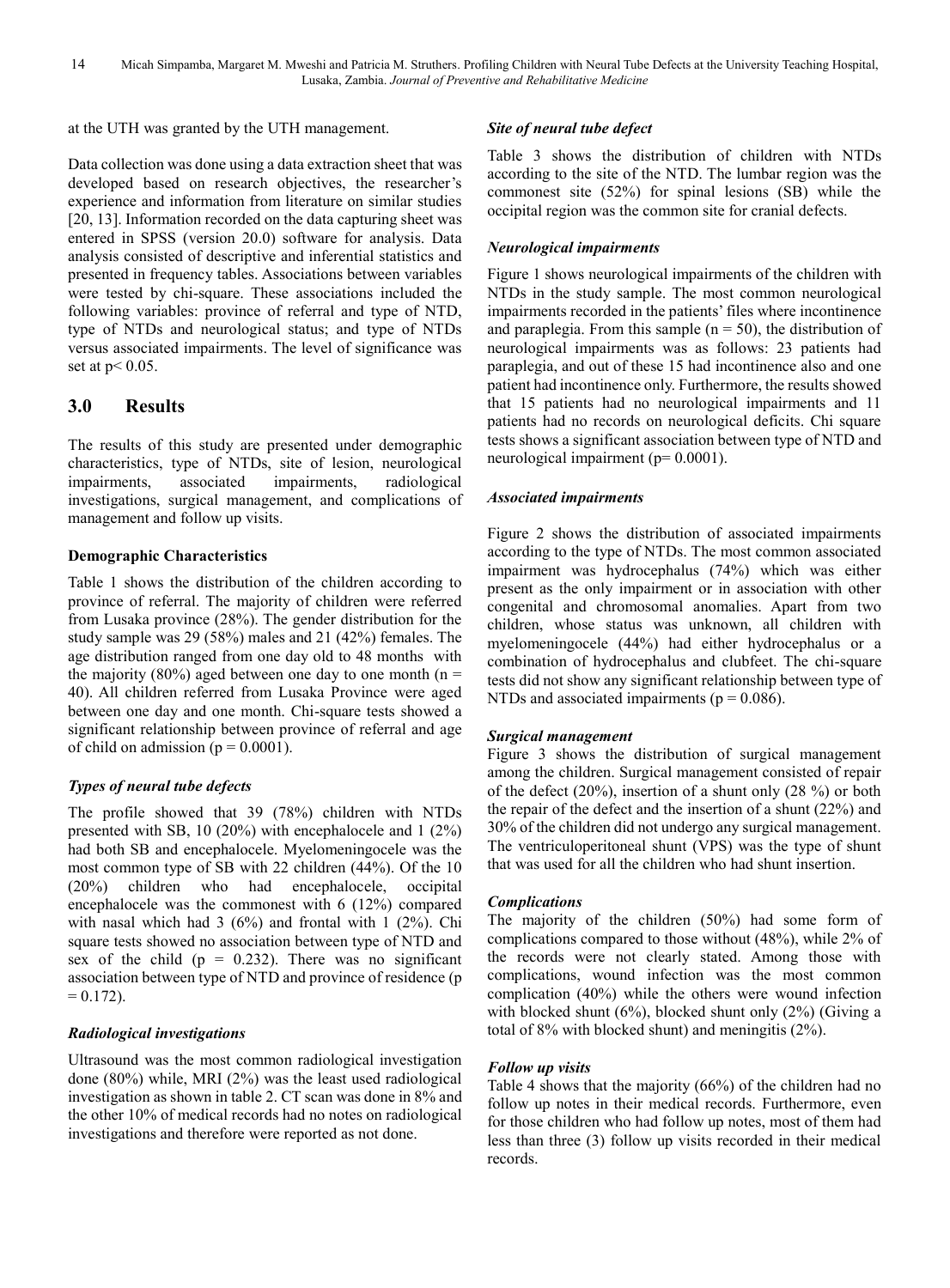at the UTH was granted by the UTH management.

Data collection was done using a data extraction sheet that was developed based on research objectives, the researcher's experience and information from literature on similar studies [20, 13]. Information recorded on the data capturing sheet was entered in SPSS (version 20.0) software for analysis. Data analysis consisted of descriptive and inferential statistics and presented in frequency tables. Associations between variables were tested by chi-square. These associations included the following variables: province of referral and type of NTD, type of NTDs and neurological status; and type of NTDs versus associated impairments. The level of significance was set at p< 0.05.

# **3.0 Results**

The results of this study are presented under demographic characteristics, type of NTDs, site of lesion, neurological impairments, associated impairments, radiological investigations, surgical management, and complications of management and follow up visits.

## **Demographic Characteristics**

Table 1 shows the distribution of the children according to province of referral. The majority of children were referred from Lusaka province (28%). The gender distribution for the study sample was 29 (58%) males and 21 (42%) females. The age distribution ranged from one day old to 48 months with the majority (80%) aged between one day to one month ( $n =$ 40). All children referred from Lusaka Province were aged between one day and one month. Chi-square tests showed a significant relationship between province of referral and age of child on admission ( $p = 0.0001$ ).

## *Types of neural tube defects*

The profile showed that 39 (78%) children with NTDs presented with SB, 10 (20%) with encephalocele and 1 (2%) had both SB and encephalocele. Myelomeningocele was the most common type of SB with 22 children (44%). Of the 10 (20%) children who had encephalocele, occipital encephalocele was the commonest with 6 (12%) compared with nasal which had  $3(6%)$  and frontal with 1 (2%). Chi square tests showed no association between type of NTD and sex of the child ( $p = 0.232$ ). There was no significant association between type of NTD and province of residence (p  $= 0.172$ .

## *Radiological investigations*

Ultrasound was the most common radiological investigation done (80%) while, MRI (2%) was the least used radiological investigation as shown in table 2. CT scan was done in 8% and the other 10% of medical records had no notes on radiological investigations and therefore were reported as not done.

# *Site of neural tube defect*

Table 3 shows the distribution of children with NTDs according to the site of the NTD. The lumbar region was the commonest site (52%) for spinal lesions (SB) while the occipital region was the common site for cranial defects.

# *Neurological impairments*

Figure 1 shows neurological impairments of the children with NTDs in the study sample. The most common neurological impairments recorded in the patients' files where incontinence and paraplegia. From this sample  $(n = 50)$ , the distribution of neurological impairments was as follows: 23 patients had paraplegia, and out of these 15 had incontinence also and one patient had incontinence only. Furthermore, the results showed that 15 patients had no neurological impairments and 11 patients had no records on neurological deficits. Chi square tests shows a significant association between type of NTD and neurological impairment ( $p= 0.0001$ ).

# *Associated impairments*

Figure 2 shows the distribution of associated impairments according to the type of NTDs. The most common associated impairment was hydrocephalus (74%) which was either present as the only impairment or in association with other congenital and chromosomal anomalies. Apart from two children, whose status was unknown, all children with myelomeningocele (44%) had either hydrocephalus or a combination of hydrocephalus and clubfeet. The chi-square tests did not show any significant relationship between type of NTDs and associated impairments ( $p = 0.086$ ).

## *Surgical management*

Figure 3 shows the distribution of surgical management among the children. Surgical management consisted of repair of the defect (20%), insertion of a shunt only (28 %) or both the repair of the defect and the insertion of a shunt (22%) and 30% of the children did not undergo any surgical management. The ventriculoperitoneal shunt (VPS) was the type of shunt that was used for all the children who had shunt insertion.

## *Complications*

The majority of the children (50%) had some form of complications compared to those without (48%), while 2% of the records were not clearly stated. Among those with complications, wound infection was the most common complication (40%) while the others were wound infection with blocked shunt  $(6\%)$ , blocked shunt only  $(2\%)$  (Giving a total of 8% with blocked shunt) and meningitis (2%).

## *Follow up visits*

Table 4 shows that the majority (66%) of the children had no follow up notes in their medical records. Furthermore, even for those children who had follow up notes, most of them had less than three (3) follow up visits recorded in their medical records.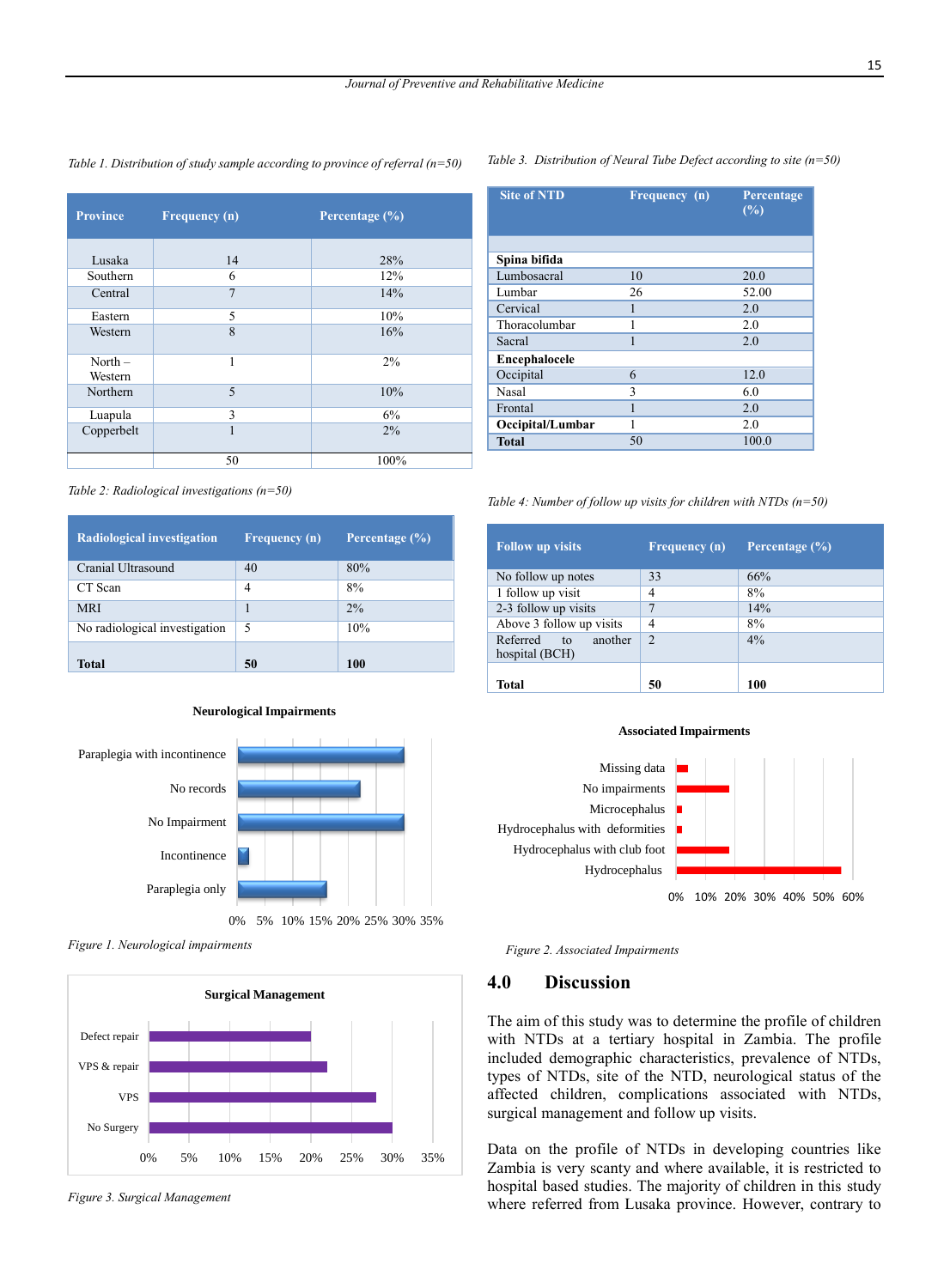*Table 1. Distribution of study sample according to province of referral (n=50)*

| <b>Province</b>      | Frequency (n)  | Percentage $(\%)$ |
|----------------------|----------------|-------------------|
| Lusaka               | 14             | 28%               |
| Southern             | 6              | 12%               |
| Central              | $\overline{7}$ | 14%               |
| Eastern              | 5              | 10%               |
| Western              | 8              | 16%               |
| North $-$<br>Western | 1              | $2\%$             |
| Northern             | 5              | 10%               |
| Luapula              | 3              | 6%                |
| Copperbelt           | 1              | 2%                |
|                      | 50             | 100%              |

*Table 3. Distribution of Neural Tube Defect according to site (n=50)*

| <b>Site of NTD</b> | Frequency (n) | Percentage<br>(%) |
|--------------------|---------------|-------------------|
|                    |               |                   |
| Spina bifida       |               |                   |
| Lumbosacral        | 10            | 20.0              |
| Lumbar             | 26            | 52.00             |
| Cervical           |               | 2.0               |
| Thoracolumbar      |               | 2.0               |
| Sacral             | 1             | 2.0               |
| Encephalocele      |               |                   |
| Occipital          | 6             | 12.0              |
| <b>Nasal</b>       | 3             | 6.0               |
| Frontal            |               | 2.0               |
| Occipital/Lumbar   | 1             | 2.0               |
| <b>Total</b>       | 50            | 100.0             |

*Table 2: Radiological investigations (n=50)*

| <b>Radiological investigation</b> | <b>Frequency</b> (n) | Percentage $(\% )$ |
|-----------------------------------|----------------------|--------------------|
| Cranial Ultrasound                | 40                   | 80%                |
| CT Scan                           | 4                    | 8%                 |
| <b>MRI</b>                        |                      | 2%                 |
| No radiological investigation     | 5                    | 10%                |
| <b>Total</b>                      | 50                   | 100                |





*Figure 1. Neurological impairments* 



*Figure 3. Surgical Management* 

*Table 4: Number of follow up visits for children with NTDs (n=50)*

| <b>Follow up visits</b>                  | <b>Frequency</b> (n) | Percentage (%) |
|------------------------------------------|----------------------|----------------|
| No follow up notes                       | 33                   | 66%            |
| 1 follow up visit                        | $\overline{4}$       | 8%             |
| 2-3 follow up visits                     |                      | 14%            |
| Above 3 follow up visits                 | 4                    | 8%             |
| Referred to<br>another<br>hospital (BCH) | $\mathfrak{D}$       | 4%             |
| <b>Total</b>                             | 50                   | 100            |





*Figure 2. Associated Impairments*

### **4.0 Discussion**

The aim of this study was to determine the profile of children with NTDs at a tertiary hospital in Zambia. The profile included demographic characteristics, prevalence of NTDs, types of NTDs, site of the NTD, neurological status of the affected children, complications associated with NTDs, surgical management and follow up visits.

Data on the profile of NTDs in developing countries like Zambia is very scanty and where available, it is restricted to hospital based studies. The majority of children in this study where referred from Lusaka province. However, contrary to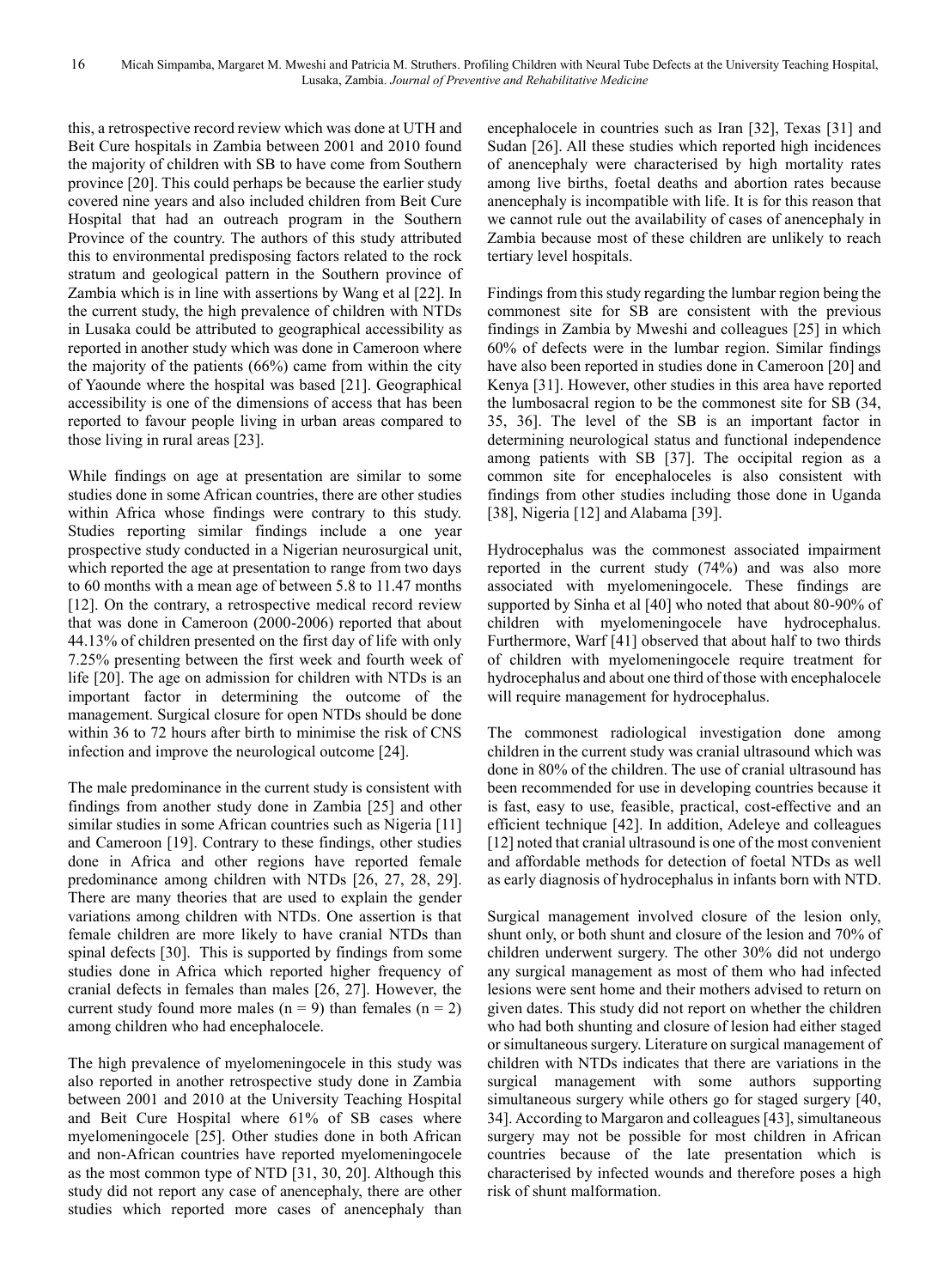this, a retrospective record review which was done at UTH and Beit Cure hospitals in Zambia between 2001 and 2010 found the majority of children with SB to have come from Southern province [20]. This could perhaps be because the earlier study covered nine years and also included children from Beit Cure Hospital that had an outreach program in the Southern Province of the country. The authors of this study attributed this to environmental predisposing factors related to the rock stratum and geological pattern in the Southern province of Zambia which is in line with assertions by Wang et al [22]. In the current study, the high prevalence of children with NTDs in Lusaka could be attributed to geographical accessibility as reported in another study which was done in Cameroon where the majority of the patients (66%) came from within the city of Yaounde where the hospital was based [21]. Geographical accessibility is one of the dimensions of access that has been reported to favour people living in urban areas compared to those living in rural areas [23].

While findings on age at presentation are similar to some studies done in some African countries, there are other studies within Africa whose findings were contrary to this study. Studies reporting similar findings include a one year prospective study conducted in a Nigerian neurosurgical unit, which reported the age at presentation to range from two days to 60 months with a mean age of between 5.8 to 11.47 months [12]. On the contrary, a retrospective medical record review that was done in Cameroon (2000-2006) reported that about 44.13% of children presented on the first day of life with only 7.25% presenting between the first week and fourth week of life [20]. The age on admission for children with NTDs is an important factor in determining the outcome of the management. Surgical closure for open NTDs should be done within 36 to 72 hours after birth to minimise the risk of CNS infection and improve the neurological outcome [24].

The male predominance in the current study is consistent with findings from another study done in Zambia [25] and other similar studies in some African countries such as Nigeria [11] and Cameroon [19]. Contrary to these findings, other studies done in Africa and other regions have reported female predominance among children with NTDs [26, 27, 28, 29]. There are many theories that are used to explain the gender variations among children with NTDs. One assertion is that female children are more likely to have cranial NTDs than spinal defects [30]. This is supported by findings from some studies done in Africa which reported higher frequency of cranial defects in females than males [26, 27]. However, the current study found more males  $(n = 9)$  than females  $(n = 2)$ among children who had encephalocele.

The high prevalence of myelomeningocele in this study was also reported in another retrospective study done in Zambia between 2001 and 2010 at the University Teaching Hospital and Beit Cure Hospital where 61% of SB cases where myelomeningocele [25]. Other studies done in both African and non-African countries have reported myelomeningocele as the most common type of NTD [31, 30, 20]. Although this study did not report any case of anencephaly, there are other studies which reported more cases of anencephaly than

encephalocele in countries such as Iran [32], Texas [31] and Sudan [26]. All these studies which reported high incidences of anencephaly were characterised by high mortality rates among live births, foetal deaths and abortion rates because anencephaly is incompatible with life. It is for this reason that we cannot rule out the availability of cases of anencephaly in Zambia because most of these children are unlikely to reach tertiary level hospitals.

Findings from this study regarding the lumbar region being the commonest site for SB are consistent with the previous findings in Zambia by Mweshi and colleagues [25] in which 60% of defects were in the lumbar region. Similar findings have also been reported in studies done in Cameroon [20] and Kenya [31]. However, other studies in this area have reported the lumbosacral region to be the commonest site for SB (34, 35, 36]. The level of the SB is an important factor in determining neurological status and functional independence among patients with SB [37]. The occipital region as a common site for encephaloceles is also consistent with findings from other studies including those done in Uganda [38], Nigeria [12] and Alabama [39].

Hydrocephalus was the commonest associated impairment reported in the current study (74%) and was also more associated with myelomeningocele. These findings are supported by Sinha et al [40] who noted that about 80-90% of children with myelomeningocele have hydrocephalus. Furthermore, Warf [41] observed that about half to two thirds of children with myelomeningocele require treatment for hydrocephalus and about one third of those with encephalocele will require management for hydrocephalus.

The commonest radiological investigation done among children in the current study was cranial ultrasound which was done in 80% of the children. The use of cranial ultrasound has been recommended for use in developing countries because it is fast, easy to use, feasible, practical, cost-effective and an efficient technique [42]. In addition, Adeleye and colleagues [12] noted that cranial ultrasound is one of the most convenient and affordable methods for detection of foetal NTDs as well as early diagnosis of hydrocephalus in infants born with NTD.

Surgical management involved closure of the lesion only, shunt only, or both shunt and closure of the lesion and 70% of children underwent surgery. The other 30% did not undergo any surgical management as most of them who had infected lesions were sent home and their mothers advised to return on given dates. This study did not report on whether the children who had both shunting and closure of lesion had either staged or simultaneous surgery. Literature on surgical management of children with NTDs indicates that there are variations in the surgical management with some authors supporting simultaneous surgery while others go for staged surgery [40, 34]. According to Margaron and colleagues [43], simultaneous surgery may not be possible for most children in African countries because of the late presentation which is characterised by infected wounds and therefore poses a high risk of shunt malformation.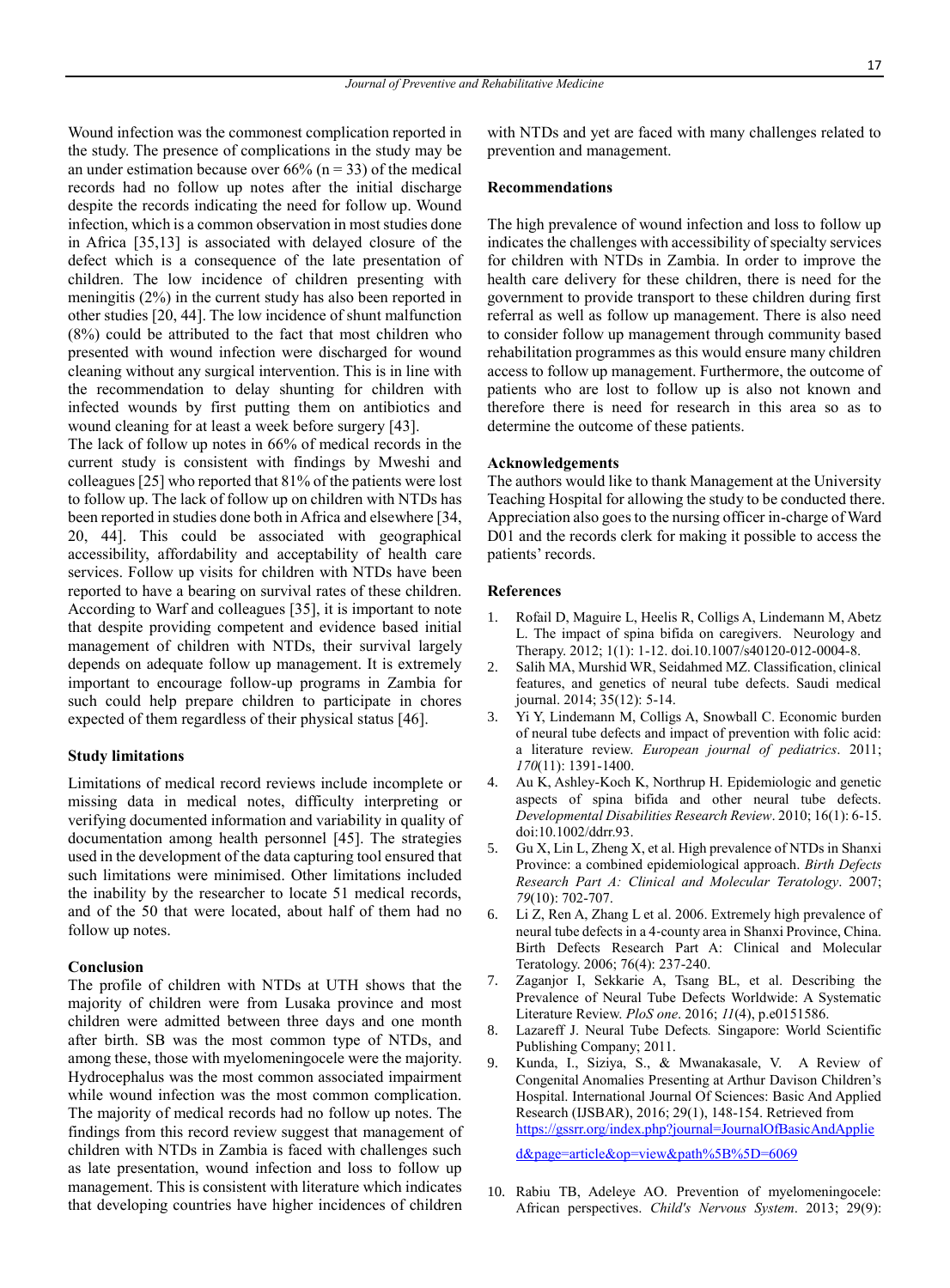Wound infection was the commonest complication reported in the study. The presence of complications in the study may be an under estimation because over  $66\%$  (n = 33) of the medical records had no follow up notes after the initial discharge despite the records indicating the need for follow up. Wound infection, which is a common observation in most studies done in Africa [35,13] is associated with delayed closure of the defect which is a consequence of the late presentation of children. The low incidence of children presenting with meningitis (2%) in the current study has also been reported in other studies [20, 44]. The low incidence of shunt malfunction (8%) could be attributed to the fact that most children who presented with wound infection were discharged for wound cleaning without any surgical intervention. This is in line with the recommendation to delay shunting for children with infected wounds by first putting them on antibiotics and wound cleaning for at least a week before surgery [43].

The lack of follow up notes in 66% of medical records in the current study is consistent with findings by Mweshi and colleagues [25] who reported that 81% of the patients were lost to follow up. The lack of follow up on children with NTDs has been reported in studies done both in Africa and elsewhere [34, 20, 44]. This could be associated with geographical accessibility, affordability and acceptability of health care services. Follow up visits for children with NTDs have been reported to have a bearing on survival rates of these children. According to Warf and colleagues [35], it is important to note that despite providing competent and evidence based initial management of children with NTDs, their survival largely depends on adequate follow up management. It is extremely important to encourage follow-up programs in Zambia for such could help prepare children to participate in chores expected of them regardless of their physical status [46].

#### **Study limitations**

Limitations of medical record reviews include incomplete or missing data in medical notes, difficulty interpreting or verifying documented information and variability in quality of documentation among health personnel [45]. The strategies used in the development of the data capturing tool ensured that such limitations were minimised. Other limitations included the inability by the researcher to locate 51 medical records, and of the 50 that were located, about half of them had no follow up notes.

#### **Conclusion**

The profile of children with NTDs at UTH shows that the majority of children were from Lusaka province and most children were admitted between three days and one month after birth. SB was the most common type of NTDs, and among these, those with myelomeningocele were the majority. Hydrocephalus was the most common associated impairment while wound infection was the most common complication. The majority of medical records had no follow up notes. The findings from this record review suggest that management of children with NTDs in Zambia is faced with challenges such as late presentation, wound infection and loss to follow up management. This is consistent with literature which indicates that developing countries have higher incidences of children with NTDs and yet are faced with many challenges related to prevention and management.

### **Recommendations**

The high prevalence of wound infection and loss to follow up indicates the challenges with accessibility of specialty services for children with NTDs in Zambia. In order to improve the health care delivery for these children, there is need for the government to provide transport to these children during first referral as well as follow up management. There is also need to consider follow up management through community based rehabilitation programmes as this would ensure many children access to follow up management. Furthermore, the outcome of patients who are lost to follow up is also not known and therefore there is need for research in this area so as to determine the outcome of these patients.

#### **Acknowledgements**

The authors would like to thank Management at the University Teaching Hospital for allowing the study to be conducted there. Appreciation also goes to the nursing officer in-charge of Ward D01 and the records clerk for making it possible to access the patients' records.

#### **References**

- 1. Rofail D, Maguire L, Heelis R, Colligs A, Lindemann M, Abetz L. The impact of spina bifida on caregivers. Neurology and Therapy. 2012; 1(1): 1-12. [doi.10.1007/s40120-012-0004-8.](http://dx.doi.org/10.1007/s40120-012-0004-8)
- 2. Salih MA, Murshid WR, Seidahmed MZ. Classification, clinical features, and genetics of neural tube defects. Saudi medical journal. 2014; 35(12): 5-14.
- 3. Yi Y, Lindemann M, Colligs A, Snowball C. Economic burden of neural tube defects and impact of prevention with folic acid: a literature review. *European journal of pediatrics*. 2011; *170*(11): 1391-1400.
- 4. Au K, Ashley-Koch K, Northrup H. Epidemiologic and genetic aspects of spina bifida and other neural tube defects. *Developmental Disabilities Research Review*. 2010; 16(1): 6-15. doi:10.1002/ddrr.93.
- 5. Gu X, Lin L, Zheng X, et al. High prevalence of NTDs in Shanxi Province: a combined epidemiological approach. *Birth Defects Research Part A: Clinical and Molecular Teratology*. 2007; *79*(10): 702-707.
- Li Z, Ren A, Zhang L et al. 2006. Extremely high prevalence of neural tube defects in a 4‐county area in Shanxi Province, China. Birth Defects Research Part A: Clinical and Molecular Teratology. 2006; 76(4): 237-240.
- 7. Zaganjor I, Sekkarie A, Tsang BL, et al. Describing the Prevalence of Neural Tube Defects Worldwide: A Systematic Literature Review. *PloS one*. 2016; *11*(4), p.e0151586.
- 8. Lazareff J. Neural Tube Defects*.* Singapore: World Scientific Publishing Company; 2011.
- 9. Kunda, I., Siziya, S., & Mwanakasale, V. A Review of Congenital Anomalies Presenting at Arthur Davison Children's Hospital. International Journal Of Sciences: Basic And Applied Research (IJSBAR), 2016; 29(1), 148-154. Retrieved from [https://gssrr.org/index.php?journal=JournalOfBasicAndApplie](https://gssrr.org/index.php?journal=JournalOfBasicAndApplied&page=article&op=view&path%5B%5D=6069)

[d&page=article&op=view&path%5B%5D=6069](https://gssrr.org/index.php?journal=JournalOfBasicAndApplied&page=article&op=view&path%5B%5D=6069)

10. Rabiu TB, Adeleye AO. Prevention of myelomeningocele: African perspectives. *Child's Nervous System*. 2013; 29(9):